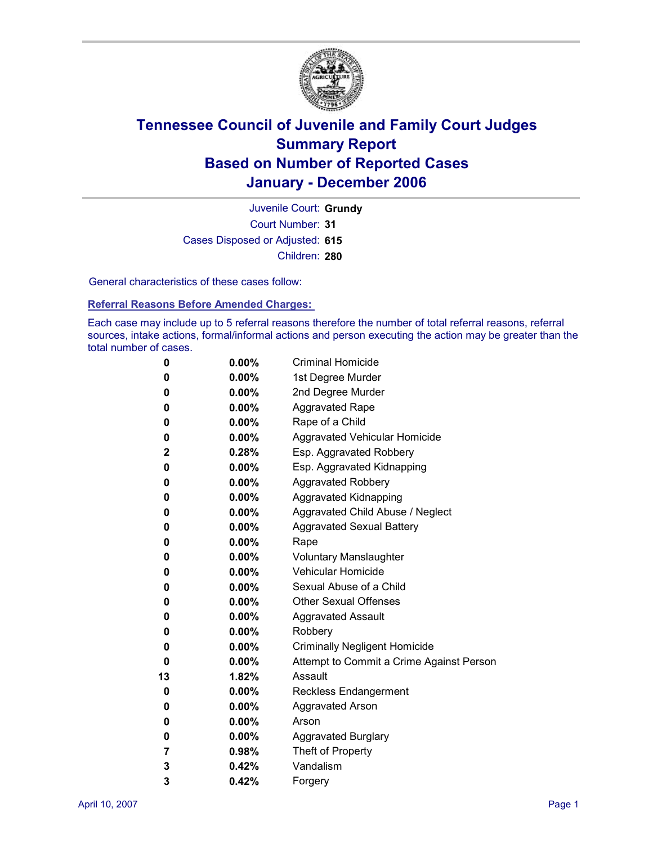

Court Number: **31** Juvenile Court: **Grundy** Cases Disposed or Adjusted: **615** Children: **280**

General characteristics of these cases follow:

**Referral Reasons Before Amended Charges:** 

Each case may include up to 5 referral reasons therefore the number of total referral reasons, referral sources, intake actions, formal/informal actions and person executing the action may be greater than the total number of cases.

| 0            | $0.00\%$ | <b>Criminal Homicide</b>                 |
|--------------|----------|------------------------------------------|
| 0            | $0.00\%$ | 1st Degree Murder                        |
| 0            | $0.00\%$ | 2nd Degree Murder                        |
| 0            | $0.00\%$ | <b>Aggravated Rape</b>                   |
| 0            | $0.00\%$ | Rape of a Child                          |
| 0            | $0.00\%$ | Aggravated Vehicular Homicide            |
| $\mathbf{2}$ | $0.28\%$ | Esp. Aggravated Robbery                  |
| 0            | $0.00\%$ | Esp. Aggravated Kidnapping               |
| 0            | $0.00\%$ | <b>Aggravated Robbery</b>                |
| 0            | $0.00\%$ | <b>Aggravated Kidnapping</b>             |
| 0            | $0.00\%$ | Aggravated Child Abuse / Neglect         |
| 0            | $0.00\%$ | <b>Aggravated Sexual Battery</b>         |
| 0            | $0.00\%$ | Rape                                     |
| 0            | $0.00\%$ | <b>Voluntary Manslaughter</b>            |
| 0            | $0.00\%$ | <b>Vehicular Homicide</b>                |
| 0            | $0.00\%$ | Sexual Abuse of a Child                  |
| 0            | $0.00\%$ | <b>Other Sexual Offenses</b>             |
| 0            | $0.00\%$ | <b>Aggravated Assault</b>                |
| 0            | $0.00\%$ | Robbery                                  |
| 0            | $0.00\%$ | <b>Criminally Negligent Homicide</b>     |
| 0            | $0.00\%$ | Attempt to Commit a Crime Against Person |
| 13           | $1.82\%$ | Assault                                  |
| 0            | $0.00\%$ | <b>Reckless Endangerment</b>             |
| 0            | $0.00\%$ | <b>Aggravated Arson</b>                  |
| 0            | $0.00\%$ | Arson                                    |
| 0            | $0.00\%$ | <b>Aggravated Burglary</b>               |
| 7            | $0.98\%$ | Theft of Property                        |
| 3            | 0.42%    | Vandalism                                |
| 3            | 0.42%    | Forgery                                  |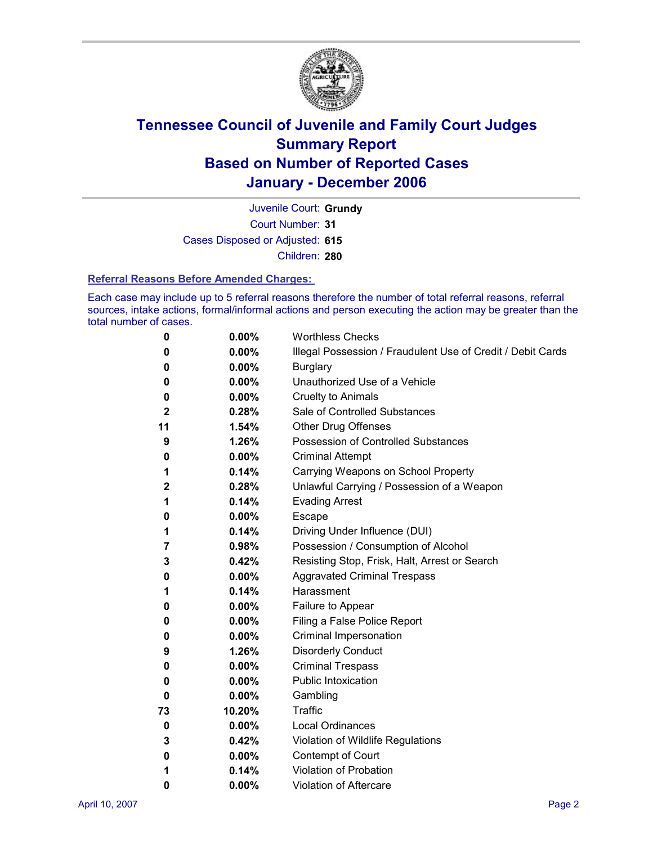

Court Number: **31** Juvenile Court: **Grundy** Cases Disposed or Adjusted: **615** Children: **280**

**Referral Reasons Before Amended Charges:** 

Each case may include up to 5 referral reasons therefore the number of total referral reasons, referral sources, intake actions, formal/informal actions and person executing the action may be greater than the total number of cases.

| 0            | 0.00%    | <b>Worthless Checks</b>                                     |
|--------------|----------|-------------------------------------------------------------|
| 0            | $0.00\%$ | Illegal Possession / Fraudulent Use of Credit / Debit Cards |
| 0            | $0.00\%$ | <b>Burglary</b>                                             |
| 0            | $0.00\%$ | Unauthorized Use of a Vehicle                               |
| 0            | 0.00%    | <b>Cruelty to Animals</b>                                   |
| $\mathbf{2}$ | 0.28%    | Sale of Controlled Substances                               |
| 11           | 1.54%    | <b>Other Drug Offenses</b>                                  |
| 9            | 1.26%    | Possession of Controlled Substances                         |
| 0            | 0.00%    | <b>Criminal Attempt</b>                                     |
| 1            | 0.14%    | Carrying Weapons on School Property                         |
| $\mathbf{2}$ | 0.28%    | Unlawful Carrying / Possession of a Weapon                  |
| 1            | 0.14%    | <b>Evading Arrest</b>                                       |
| 0            | $0.00\%$ | Escape                                                      |
| 1            | 0.14%    | Driving Under Influence (DUI)                               |
| 7            | 0.98%    | Possession / Consumption of Alcohol                         |
| 3            | 0.42%    | Resisting Stop, Frisk, Halt, Arrest or Search               |
| 0            | $0.00\%$ | <b>Aggravated Criminal Trespass</b>                         |
| 1            | 0.14%    | Harassment                                                  |
| 0            | $0.00\%$ | Failure to Appear                                           |
| 0            | 0.00%    | Filing a False Police Report                                |
| 0            | $0.00\%$ | Criminal Impersonation                                      |
| 9            | 1.26%    | <b>Disorderly Conduct</b>                                   |
| 0            | $0.00\%$ | <b>Criminal Trespass</b>                                    |
| 0            | 0.00%    | <b>Public Intoxication</b>                                  |
| 0            | 0.00%    | Gambling                                                    |
| 73           | 10.20%   | Traffic                                                     |
| 0            | $0.00\%$ | <b>Local Ordinances</b>                                     |
| 3            | 0.42%    | Violation of Wildlife Regulations                           |
| 0            | 0.00%    | Contempt of Court                                           |
| 1            | 0.14%    | <b>Violation of Probation</b>                               |
| 0            | 0.00%    | <b>Violation of Aftercare</b>                               |
|              |          |                                                             |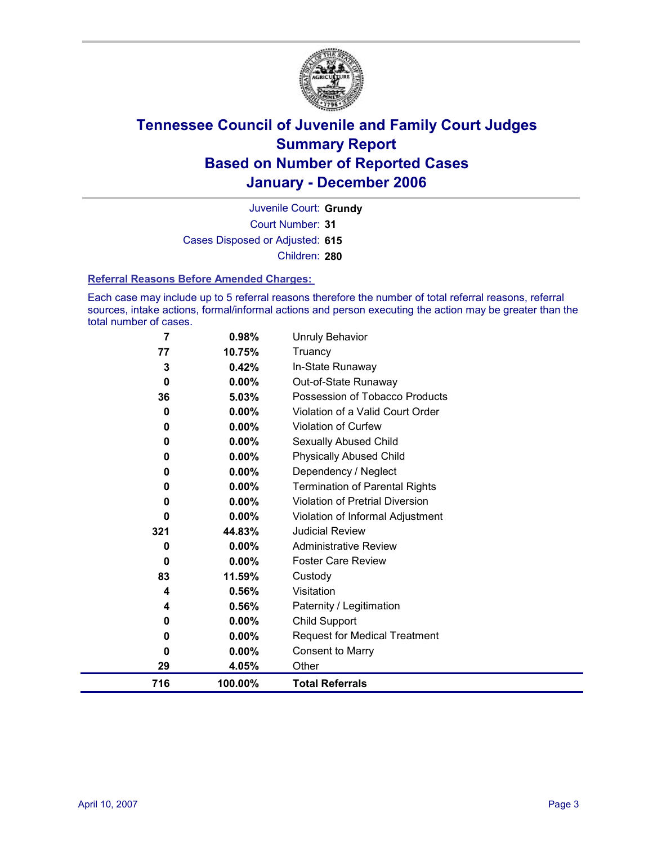

Court Number: **31** Juvenile Court: **Grundy** Cases Disposed or Adjusted: **615** Children: **280**

**Referral Reasons Before Amended Charges:** 

Each case may include up to 5 referral reasons therefore the number of total referral reasons, referral sources, intake actions, formal/informal actions and person executing the action may be greater than the total number of cases.

| 7   | 0.98%    | Unruly Behavior                        |
|-----|----------|----------------------------------------|
| 77  | 10.75%   | Truancy                                |
| 3   | 0.42%    | In-State Runaway                       |
| 0   | $0.00\%$ | Out-of-State Runaway                   |
| 36  | 5.03%    | Possession of Tobacco Products         |
| 0   | 0.00%    | Violation of a Valid Court Order       |
| 0   | 0.00%    | <b>Violation of Curfew</b>             |
| 0   | 0.00%    | Sexually Abused Child                  |
| 0   | 0.00%    | <b>Physically Abused Child</b>         |
| 0   | 0.00%    | Dependency / Neglect                   |
| 0   | 0.00%    | <b>Termination of Parental Rights</b>  |
| 0   | 0.00%    | <b>Violation of Pretrial Diversion</b> |
| 0   | $0.00\%$ | Violation of Informal Adjustment       |
| 321 | 44.83%   | <b>Judicial Review</b>                 |
| 0   | $0.00\%$ | <b>Administrative Review</b>           |
| 0   | 0.00%    | <b>Foster Care Review</b>              |
| 83  | 11.59%   | Custody                                |
| 4   | 0.56%    | Visitation                             |
| 4   | 0.56%    | Paternity / Legitimation               |
| 0   | 0.00%    | <b>Child Support</b>                   |
| 0   | $0.00\%$ | <b>Request for Medical Treatment</b>   |
| 0   | $0.00\%$ | <b>Consent to Marry</b>                |
| 29  | 4.05%    | Other                                  |
| 716 | 100.00%  | <b>Total Referrals</b>                 |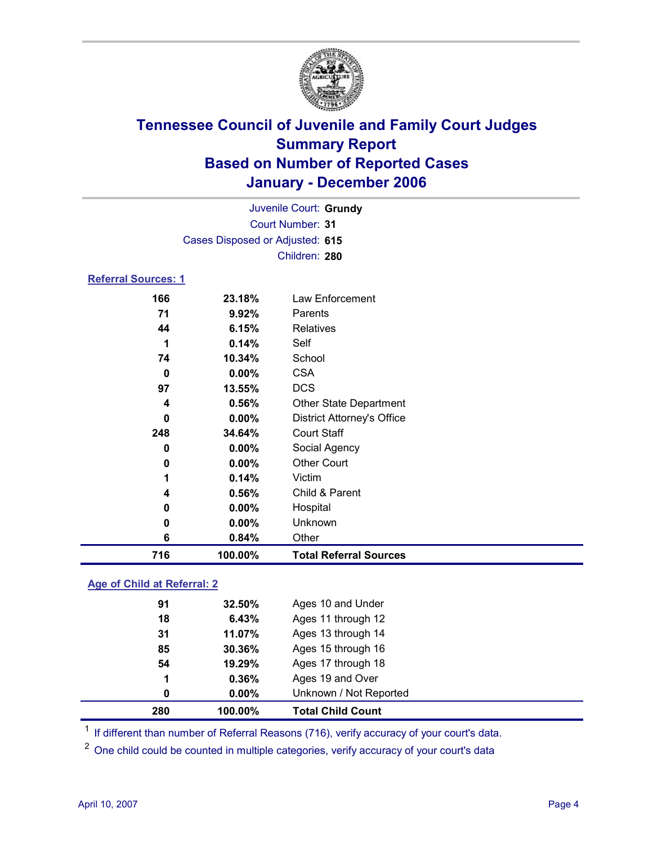

Court Number: **31** Juvenile Court: **Grundy** Cases Disposed or Adjusted: **615** Children: **280**

#### **Referral Sources: 1**

| 166 | 23.18%   | Law Enforcement                   |
|-----|----------|-----------------------------------|
| 71  | 9.92%    | Parents                           |
| 44  | 6.15%    | Relatives                         |
|     | 0.14%    | Self                              |
| 74  | 10.34%   | School                            |
| 0   | $0.00\%$ | <b>CSA</b>                        |
| 97  | 13.55%   | <b>DCS</b>                        |
| 4   | 0.56%    | <b>Other State Department</b>     |
| 0   | $0.00\%$ | <b>District Attorney's Office</b> |
| 248 | 34.64%   | <b>Court Staff</b>                |
| 0   | $0.00\%$ | Social Agency                     |
| 0   | $0.00\%$ | <b>Other Court</b>                |
|     | 0.14%    | Victim                            |
| 4   | 0.56%    | Child & Parent                    |
| 0   | $0.00\%$ | Hospital                          |
| 0   | $0.00\%$ | Unknown                           |
| 6   | 0.84%    | Other                             |
| 716 | 100.00%  | <b>Total Referral Sources</b>     |

### **Age of Child at Referral: 2**

| 280 | 100.00%   | <b>Total Child Count</b> |  |
|-----|-----------|--------------------------|--|
| 0   | $0.00\%$  | Unknown / Not Reported   |  |
| 1   | 0.36%     | Ages 19 and Over         |  |
| 54  | 19.29%    | Ages 17 through 18       |  |
| 85  | $30.36\%$ | Ages 15 through 16       |  |
| 31  | 11.07%    | Ages 13 through 14       |  |
| 18  | 6.43%     | Ages 11 through 12       |  |
| 91  | 32.50%    | Ages 10 and Under        |  |
|     |           |                          |  |

<sup>1</sup> If different than number of Referral Reasons (716), verify accuracy of your court's data.

<sup>2</sup> One child could be counted in multiple categories, verify accuracy of your court's data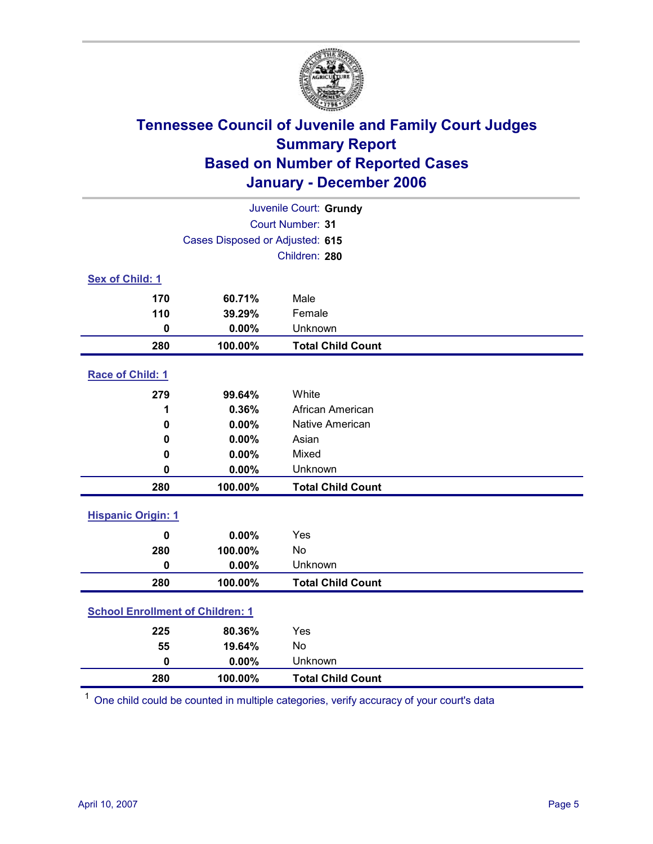

| Juvenile Court: Grundy    |                                         |                          |  |  |
|---------------------------|-----------------------------------------|--------------------------|--|--|
|                           | Court Number: 31                        |                          |  |  |
|                           | Cases Disposed or Adjusted: 615         |                          |  |  |
|                           | Children: 280                           |                          |  |  |
| <b>Sex of Child: 1</b>    |                                         |                          |  |  |
| 170                       | 60.71%                                  | Male                     |  |  |
| 110                       | 39.29%                                  | Female                   |  |  |
| $\mathbf 0$               | 0.00%                                   | Unknown                  |  |  |
| 280                       | 100.00%                                 | <b>Total Child Count</b> |  |  |
| Race of Child: 1          |                                         |                          |  |  |
| 279                       | 99.64%                                  | White                    |  |  |
| 1                         | 0.36%                                   | African American         |  |  |
| 0                         | 0.00%                                   | Native American          |  |  |
| $\bf{0}$                  | 0.00%                                   | Asian                    |  |  |
| 0                         | 0.00%                                   | Mixed                    |  |  |
| $\mathbf 0$               | 0.00%                                   | Unknown                  |  |  |
| 280                       | 100.00%                                 | <b>Total Child Count</b> |  |  |
| <b>Hispanic Origin: 1</b> |                                         |                          |  |  |
| $\mathbf 0$               | 0.00%                                   | Yes                      |  |  |
| 280                       | 100.00%                                 | <b>No</b>                |  |  |
| $\mathbf 0$               | 0.00%                                   | Unknown                  |  |  |
| 280                       | 100.00%                                 | <b>Total Child Count</b> |  |  |
|                           | <b>School Enrollment of Children: 1</b> |                          |  |  |
| 225                       | 80.36%                                  | Yes                      |  |  |
| 55                        | 19.64%                                  | No                       |  |  |
| $\mathbf 0$               | 0.00%                                   | Unknown                  |  |  |
| 280                       | 100.00%                                 | <b>Total Child Count</b> |  |  |

<sup>1</sup> One child could be counted in multiple categories, verify accuracy of your court's data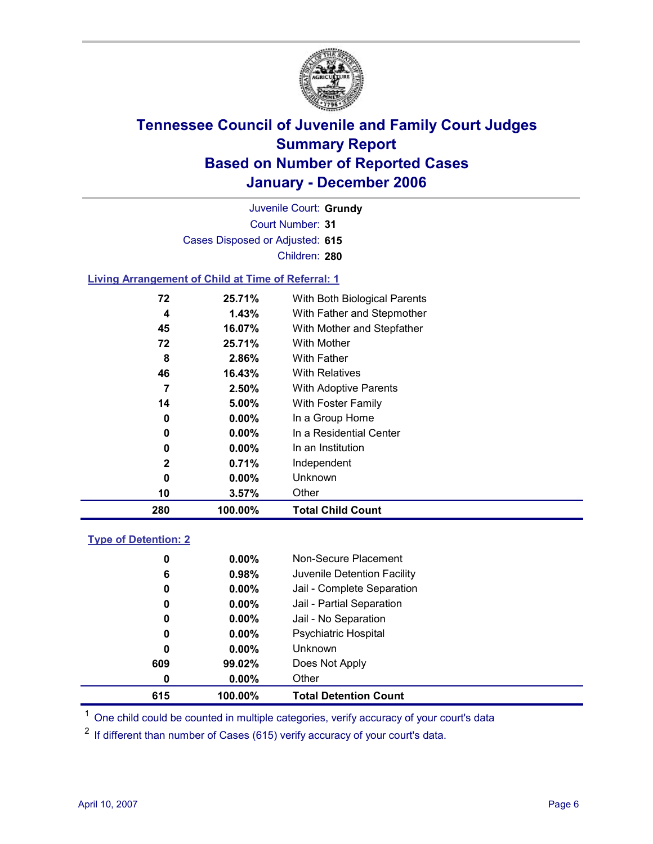

Court Number: **31** Juvenile Court: **Grundy** Cases Disposed or Adjusted: **615** Children: **280**

### **Living Arrangement of Child at Time of Referral: 1**

| 280          | 100.00%  | <b>Total Child Count</b>     |
|--------------|----------|------------------------------|
| 10           | 3.57%    | Other                        |
| 0            | $0.00\%$ | Unknown                      |
| $\mathbf{2}$ | 0.71%    | Independent                  |
| 0            | $0.00\%$ | In an Institution            |
| 0            | $0.00\%$ | In a Residential Center      |
| 0            | $0.00\%$ | In a Group Home              |
| 14           | 5.00%    | With Foster Family           |
| 7            | 2.50%    | <b>With Adoptive Parents</b> |
| 46           | 16.43%   | <b>With Relatives</b>        |
| 8            | 2.86%    | With Father                  |
| 72           | 25.71%   | With Mother                  |
| 45           | 16.07%   | With Mother and Stepfather   |
| 4            | 1.43%    | With Father and Stepmother   |
| 72           | 25.71%   | With Both Biological Parents |
|              |          |                              |

### **Type of Detention: 2**

| 615 | 100.00%  | <b>Total Detention Count</b> |
|-----|----------|------------------------------|
| 0   | $0.00\%$ | Other                        |
| 609 | 99.02%   | Does Not Apply               |
| 0   | $0.00\%$ | Unknown                      |
| 0   | $0.00\%$ | <b>Psychiatric Hospital</b>  |
| 0   | $0.00\%$ | Jail - No Separation         |
| 0   | $0.00\%$ | Jail - Partial Separation    |
| 0   | $0.00\%$ | Jail - Complete Separation   |
| 6   | 0.98%    | Juvenile Detention Facility  |
| 0   | $0.00\%$ | Non-Secure Placement         |
|     |          |                              |

<sup>1</sup> One child could be counted in multiple categories, verify accuracy of your court's data

<sup>2</sup> If different than number of Cases (615) verify accuracy of your court's data.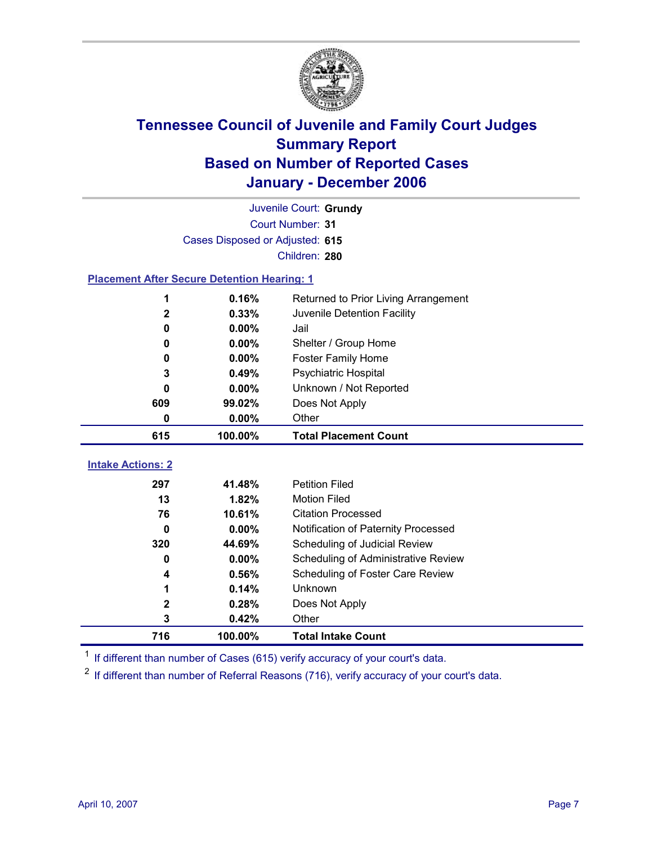

Court Number: **31** Juvenile Court: **Grundy** Cases Disposed or Adjusted: **615** Children: **280**

#### **Placement After Secure Detention Hearing: 1**

|                          | 0.16%    | Returned to Prior Living Arrangement       |
|--------------------------|----------|--------------------------------------------|
| $\mathbf{2}$             | 0.33%    | Juvenile Detention Facility                |
| 0                        | $0.00\%$ | Jail                                       |
| 0                        | $0.00\%$ | Shelter / Group Home                       |
| 0                        | $0.00\%$ | <b>Foster Family Home</b>                  |
| 3                        | 0.49%    | Psychiatric Hospital                       |
| 0                        | $0.00\%$ | Unknown / Not Reported                     |
| 609                      | 99.02%   | Does Not Apply                             |
| 0                        | $0.00\%$ | Other                                      |
| 615                      | 100.00%  | <b>Total Placement Count</b>               |
|                          |          |                                            |
| <b>Intake Actions: 2</b> |          |                                            |
| 297                      | 41.48%   | <b>Petition Filed</b>                      |
| 13                       | 1.82%    | <b>Motion Filed</b>                        |
| 76                       | 10.61%   | <b>Citation Processed</b>                  |
| 0                        | $0.00\%$ | Notification of Paternity Processed        |
| 320                      | 44.69%   | Scheduling of Judicial Review              |
| 0                        | $0.00\%$ | <b>Scheduling of Administrative Review</b> |
| 4                        | 0.56%    | Scheduling of Foster Care Review           |
|                          | 0.14%    | <b>Unknown</b>                             |

**3 0.42%** Other

<sup>1</sup> If different than number of Cases (615) verify accuracy of your court's data.

**716 100.00% Total Intake Count**

<sup>2</sup> If different than number of Referral Reasons (716), verify accuracy of your court's data.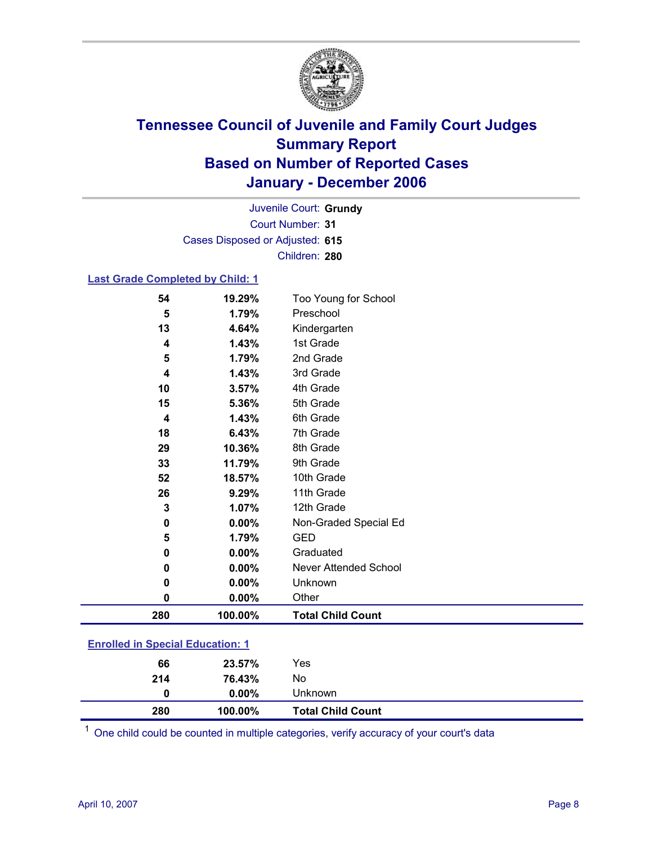

Court Number: **31** Juvenile Court: **Grundy** Cases Disposed or Adjusted: **615** Children: **280**

### **Last Grade Completed by Child: 1**

| 280 | 100.00% | <b>Total Child Count</b> |
|-----|---------|--------------------------|
| 0   | 0.00%   | Other                    |
| 0   | 0.00%   | Unknown                  |
| 0   | 0.00%   | Never Attended School    |
| 0   | 0.00%   | Graduated                |
| 5   | 1.79%   | <b>GED</b>               |
| 0   | 0.00%   | Non-Graded Special Ed    |
| 3   | 1.07%   | 12th Grade               |
| 26  | 9.29%   | 11th Grade               |
| 52  | 18.57%  | 10th Grade               |
| 33  | 11.79%  | 9th Grade                |
| 29  | 10.36%  | 8th Grade                |
| 18  | 6.43%   | 7th Grade                |
| 4   | 1.43%   | 6th Grade                |
| 15  | 5.36%   | 5th Grade                |
| 10  | 3.57%   | 4th Grade                |
| 4   | 1.43%   | 3rd Grade                |
| 5   | 1.79%   | 2nd Grade                |
| 4   | 1.43%   | 1st Grade                |
| 13  | 4.64%   | Kindergarten             |
| 5   | 1.79%   | Preschool                |
| 54  | 19.29%  | Too Young for School     |

### **Enrolled in Special Education: 1**

| 280 | 100.00%  | <b>Total Child Count</b> |  |
|-----|----------|--------------------------|--|
| 0   | $0.00\%$ | Unknown                  |  |
| 214 | 76.43%   | No                       |  |
| 66  | 23.57%   | Yes                      |  |
|     |          |                          |  |

<sup>1</sup> One child could be counted in multiple categories, verify accuracy of your court's data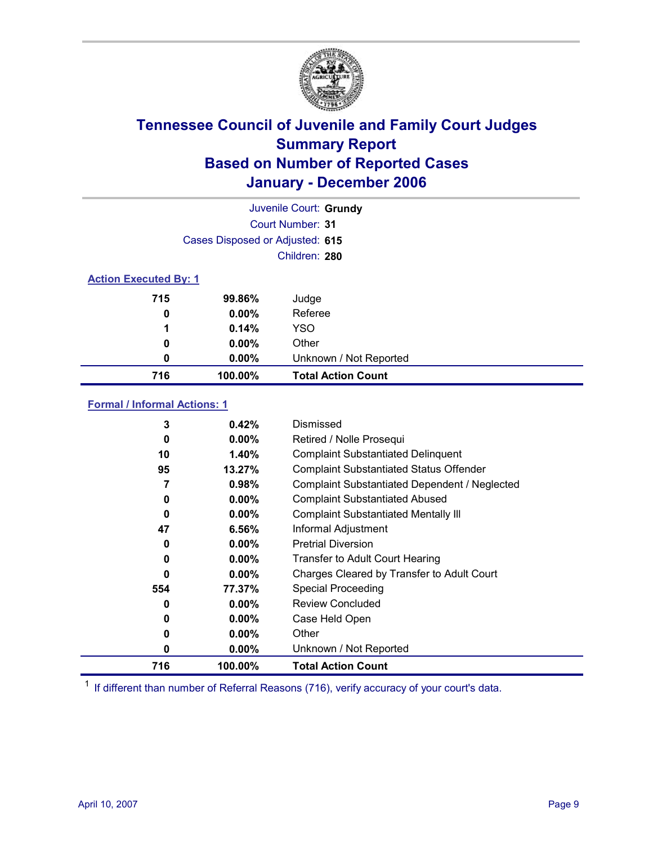

| Juvenile Court: Grundy              |                                 |                                           |  |  |
|-------------------------------------|---------------------------------|-------------------------------------------|--|--|
| Court Number: 31                    |                                 |                                           |  |  |
|                                     | Cases Disposed or Adjusted: 615 |                                           |  |  |
|                                     |                                 | Children: 280                             |  |  |
| <b>Action Executed By: 1</b>        |                                 |                                           |  |  |
| 715                                 | 99.86%                          | Judge                                     |  |  |
| 0                                   | $0.00\%$                        | Referee                                   |  |  |
| 1                                   | 0.14%                           | YSO                                       |  |  |
| 0                                   | $0.00\%$                        | Other                                     |  |  |
| 0                                   | $0.00\%$                        | Unknown / Not Reported                    |  |  |
| 716                                 | 100.00%                         | <b>Total Action Count</b>                 |  |  |
| <b>Formal / Informal Actions: 1</b> |                                 |                                           |  |  |
| 3                                   | 0.42%                           | Dismissed                                 |  |  |
| 0                                   | $0.00\%$                        | Retired / Nolle Prosequi                  |  |  |
| 10                                  | 1.40%                           | <b>Complaint Substantiated Delinquent</b> |  |  |

| 716 | 100.00%  | <b>Total Action Count</b>                            |
|-----|----------|------------------------------------------------------|
| 0   | $0.00\%$ | Unknown / Not Reported                               |
| 0   | $0.00\%$ | Other                                                |
| 0   | $0.00\%$ | Case Held Open                                       |
| 0   | $0.00\%$ | <b>Review Concluded</b>                              |
| 554 | 77.37%   | <b>Special Proceeding</b>                            |
| 0   | $0.00\%$ | Charges Cleared by Transfer to Adult Court           |
| 0   | $0.00\%$ | <b>Transfer to Adult Court Hearing</b>               |
| 0   | $0.00\%$ | <b>Pretrial Diversion</b>                            |
| 47  | 6.56%    | Informal Adjustment                                  |
| 0   | $0.00\%$ | <b>Complaint Substantiated Mentally III</b>          |
| 0   | $0.00\%$ | <b>Complaint Substantiated Abused</b>                |
| 7   | 0.98%    | <b>Complaint Substantiated Dependent / Neglected</b> |
| 95  | 13.27%   | <b>Complaint Substantiated Status Offender</b>       |
| ้าบ | 1.40%    | Complaint Substantialed Delinquent                   |

 $1$  If different than number of Referral Reasons (716), verify accuracy of your court's data.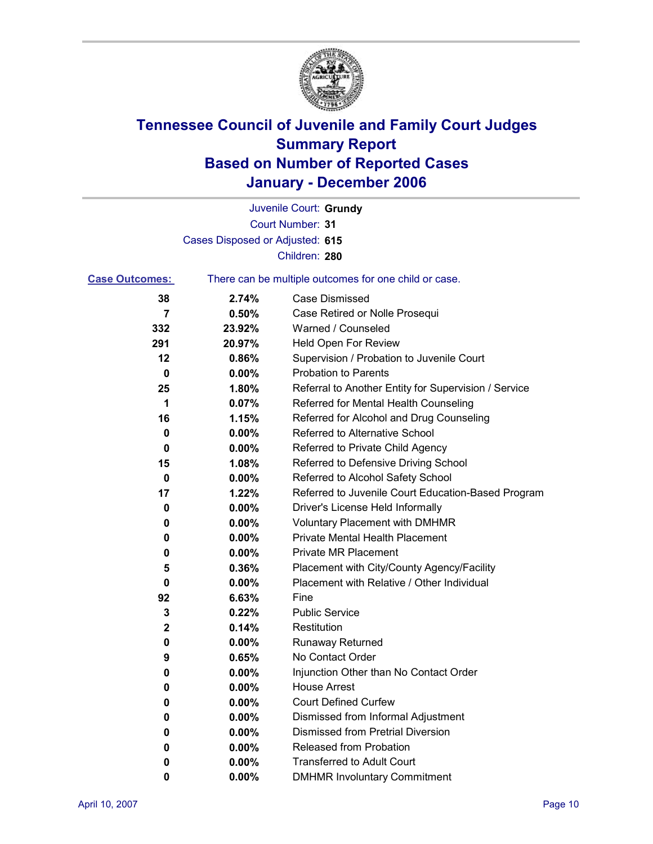

Court Number: **31** Juvenile Court: **Grundy** Cases Disposed or Adjusted: **615** Children: **280**

| <b>Case Outcomes:</b> |          | There can be multiple outcomes for one child or case. |
|-----------------------|----------|-------------------------------------------------------|
| 38                    | 2.74%    | <b>Case Dismissed</b>                                 |
| $\overline{7}$        | 0.50%    | Case Retired or Nolle Prosequi                        |
| 332                   | 23.92%   | Warned / Counseled                                    |
| 291                   | 20.97%   | <b>Held Open For Review</b>                           |
| 12                    | 0.86%    | Supervision / Probation to Juvenile Court             |
| 0                     | $0.00\%$ | <b>Probation to Parents</b>                           |
| 25                    | 1.80%    | Referral to Another Entity for Supervision / Service  |
| 1                     | 0.07%    | Referred for Mental Health Counseling                 |
| 16                    | 1.15%    | Referred for Alcohol and Drug Counseling              |
| 0                     | 0.00%    | Referred to Alternative School                        |
| 0                     | $0.00\%$ | Referred to Private Child Agency                      |
| 15                    | 1.08%    | Referred to Defensive Driving School                  |
| 0                     | 0.00%    | Referred to Alcohol Safety School                     |
| 17                    | 1.22%    | Referred to Juvenile Court Education-Based Program    |
| 0                     | 0.00%    | Driver's License Held Informally                      |
| 0                     | 0.00%    | <b>Voluntary Placement with DMHMR</b>                 |
| 0                     | $0.00\%$ | <b>Private Mental Health Placement</b>                |
| 0                     | 0.00%    | <b>Private MR Placement</b>                           |
| 5                     | 0.36%    | Placement with City/County Agency/Facility            |
| $\mathbf 0$           | $0.00\%$ | Placement with Relative / Other Individual            |
| 92                    | 6.63%    | Fine                                                  |
| 3                     | 0.22%    | <b>Public Service</b>                                 |
| 2                     | 0.14%    | Restitution                                           |
| 0                     | $0.00\%$ | <b>Runaway Returned</b>                               |
| 9                     | 0.65%    | No Contact Order                                      |
| 0                     | $0.00\%$ | Injunction Other than No Contact Order                |
| 0                     | $0.00\%$ | <b>House Arrest</b>                                   |
| 0                     | 0.00%    | <b>Court Defined Curfew</b>                           |
| 0                     | 0.00%    | Dismissed from Informal Adjustment                    |
| 0                     | $0.00\%$ | Dismissed from Pretrial Diversion                     |
| $\bf{0}$              | 0.00%    | Released from Probation                               |
| 0                     | 0.00%    | <b>Transferred to Adult Court</b>                     |
| 0                     | 0.00%    | <b>DMHMR Involuntary Commitment</b>                   |